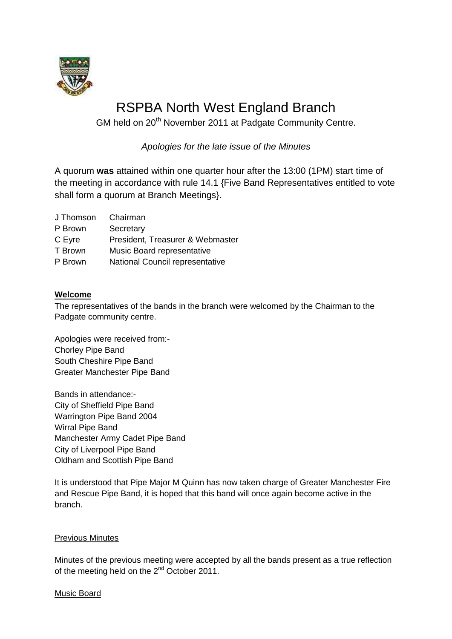

# RSPBA North West England Branch

GM held on 20<sup>th</sup> November 2011 at Padgate Community Centre.

*Apologies for the late issue of the Minutes*

A quorum **was** attained within one quarter hour after the 13:00 (1PM) start time of the meeting in accordance with rule 14.1 {Five Band Representatives entitled to vote shall form a quorum at Branch Meetings}.

| J Thomson | Chairman |
|-----------|----------|
|           |          |

P Brown Secretary

C Eyre President, Treasurer & Webmaster

- T Brown Music Board representative
- P Brown National Council representative

#### **Welcome**

The representatives of the bands in the branch were welcomed by the Chairman to the Padgate community centre.

Apologies were received from:- Chorley Pipe Band South Cheshire Pipe Band Greater Manchester Pipe Band

Bands in attendance:- City of Sheffield Pipe Band Warrington Pipe Band 2004 Wirral Pipe Band Manchester Army Cadet Pipe Band City of Liverpool Pipe Band Oldham and Scottish Pipe Band

It is understood that Pipe Major M Quinn has now taken charge of Greater Manchester Fire and Rescue Pipe Band, it is hoped that this band will once again become active in the branch.

#### Previous Minutes

Minutes of the previous meeting were accepted by all the bands present as a true reflection of the meeting held on the 2<sup>nd</sup> October 2011.

#### Music Board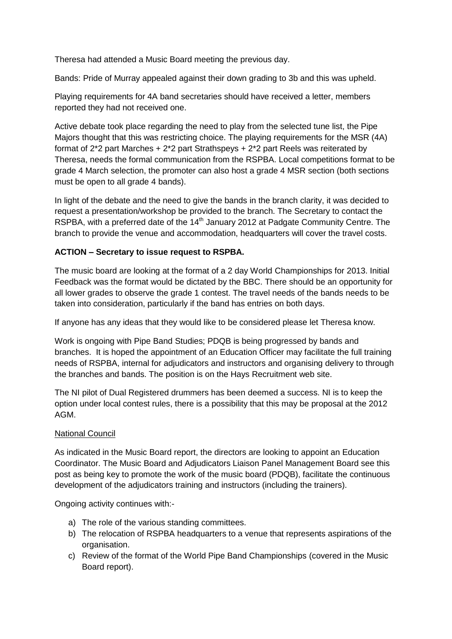Theresa had attended a Music Board meeting the previous day.

Bands: Pride of Murray appealed against their down grading to 3b and this was upheld.

Playing requirements for 4A band secretaries should have received a letter, members reported they had not received one.

Active debate took place regarding the need to play from the selected tune list, the Pipe Majors thought that this was restricting choice. The playing requirements for the MSR (4A) format of 2\*2 part Marches + 2\*2 part Strathspeys + 2\*2 part Reels was reiterated by Theresa, needs the formal communication from the RSPBA. Local competitions format to be grade 4 March selection, the promoter can also host a grade 4 MSR section (both sections must be open to all grade 4 bands).

In light of the debate and the need to give the bands in the branch clarity, it was decided to request a presentation/workshop be provided to the branch. The Secretary to contact the RSPBA, with a preferred date of the  $14<sup>th</sup>$  January 2012 at Padgate Community Centre. The branch to provide the venue and accommodation, headquarters will cover the travel costs.

## **ACTION – Secretary to issue request to RSPBA.**

The music board are looking at the format of a 2 day World Championships for 2013. Initial Feedback was the format would be dictated by the BBC. There should be an opportunity for all lower grades to observe the grade 1 contest. The travel needs of the bands needs to be taken into consideration, particularly if the band has entries on both days.

If anyone has any ideas that they would like to be considered please let Theresa know.

Work is ongoing with Pipe Band Studies; PDQB is being progressed by bands and branches. It is hoped the appointment of an Education Officer may facilitate the full training needs of RSPBA, internal for adjudicators and instructors and organising delivery to through the branches and bands. The position is on the Hays Recruitment web site.

The NI pilot of Dual Registered drummers has been deemed a success. NI is to keep the option under local contest rules, there is a possibility that this may be proposal at the 2012 AGM.

#### National Council

As indicated in the Music Board report, the directors are looking to appoint an Education Coordinator. The Music Board and Adjudicators Liaison Panel Management Board see this post as being key to promote the work of the music board (PDQB), facilitate the continuous development of the adjudicators training and instructors (including the trainers).

Ongoing activity continues with:-

- a) The role of the various standing committees.
- b) The relocation of RSPBA headquarters to a venue that represents aspirations of the organisation.
- c) Review of the format of the World Pipe Band Championships (covered in the Music Board report).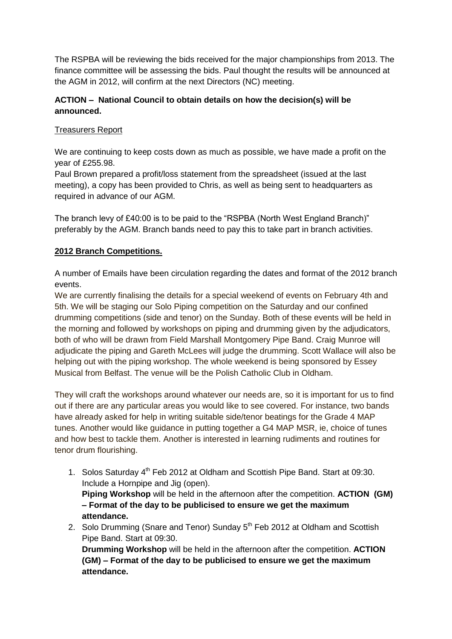The RSPBA will be reviewing the bids received for the major championships from 2013. The finance committee will be assessing the bids. Paul thought the results will be announced at the AGM in 2012, will confirm at the next Directors (NC) meeting.

## **ACTION – National Council to obtain details on how the decision(s) will be announced.**

## Treasurers Report

We are continuing to keep costs down as much as possible, we have made a profit on the year of £255.98.

Paul Brown prepared a profit/loss statement from the spreadsheet (issued at the last meeting), a copy has been provided to Chris, as well as being sent to headquarters as required in advance of our AGM.

The branch levy of £40:00 is to be paid to the "RSPBA (North West England Branch)" preferably by the AGM. Branch bands need to pay this to take part in branch activities.

## **2012 Branch Competitions.**

A number of Emails have been circulation regarding the dates and format of the 2012 branch events.

We are currently finalising the details for a special weekend of events on February 4th and 5th. We will be staging our Solo Piping competition on the Saturday and our confined drumming competitions (side and tenor) on the Sunday. Both of these events will be held in the morning and followed by workshops on piping and drumming given by the adjudicators, both of who will be drawn from Field Marshall Montgomery Pipe Band. Craig Munroe will adjudicate the piping and Gareth McLees will judge the drumming. Scott Wallace will also be helping out with the piping workshop. The whole weekend is being sponsored by Essey Musical from Belfast. The venue will be the Polish Catholic Club in Oldham.

They will craft the workshops around whatever our needs are, so it is important for us to find out if there are any particular areas you would like to see covered. For instance, two bands have already asked for help in writing suitable side/tenor beatings for the Grade 4 MAP tunes. Another would like guidance in putting together a G4 MAP MSR, ie, choice of tunes and how best to tackle them. Another is interested in learning rudiments and routines for tenor drum flourishing.

- 1. Solos Saturday 4<sup>th</sup> Feb 2012 at Oldham and Scottish Pipe Band. Start at 09:30. Include a Hornpipe and Jig (open). **Piping Workshop** will be held in the afternoon after the competition. **ACTION (GM) – Format of the day to be publicised to ensure we get the maximum attendance.**
- 2. Solo Drumming (Snare and Tenor) Sunday 5<sup>th</sup> Feb 2012 at Oldham and Scottish Pipe Band. Start at 09:30.

**Drumming Workshop** will be held in the afternoon after the competition. **ACTION (GM) – Format of the day to be publicised to ensure we get the maximum attendance.**